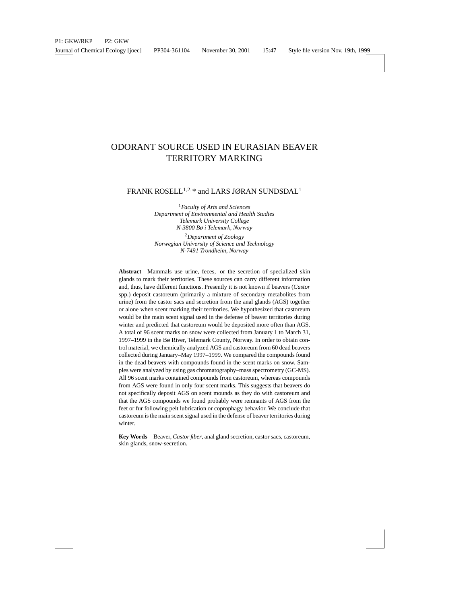# ODORANT SOURCE USED IN EURASIAN BEAVER TERRITORY MARKING

FRANK ROSELL $^{1,2,*}$  and LARS JØRAN SUNDSDAL<sup>1</sup>

<sup>1</sup>*Faculty of Arts and Sciences Department of Environmental and Health Studies Telemark University College N-3800 Bø i Telemark, Norway*

<sup>2</sup>*Department of Zoology Norwegian University of Science and Technology N-7491 Trondheim, Norway*

**Abstract**—Mammals use urine, feces, or the secretion of specialized skin glands to mark their territories. These sources can carry different information and, thus, have different functions. Presently it is not known if beavers (*Castor* spp.) deposit castoreum (primarily a mixture of secondary metabolites from urine) from the castor sacs and secretion from the anal glands (AGS) together or alone when scent marking their territories. We hypothesized that castoreum would be the main scent signal used in the defense of beaver territories during winter and predicted that castoreum would be deposited more often than AGS. A total of 96 scent marks on snow were collected from January 1 to March 31, 1997–1999 in the Bø River, Telemark County, Norway. In order to obtain control material, we chemically analyzed AGS and castoreum from 60 dead beavers collected during January–May 1997–1999. We compared the compounds found in the dead beavers with compounds found in the scent marks on snow. Samples were analyzed by using gas chromatography–mass spectrometry (GC-MS). All 96 scent marks contained compounds from castoreum, whereas compounds from AGS were found in only four scent marks. This suggests that beavers do not specifically deposit AGS on scent mounds as they do with castoreum and that the AGS compounds we found probably were remnants of AGS from the feet or fur following pelt lubrication or coprophagy behavior. We conclude that castoreum is the main scent signal used in the defense of beaver territories during winter.

**Key Words**—Beaver, *Castor fiber*, anal gland secretion, castor sacs, castoreum, skin glands, snow-secretion.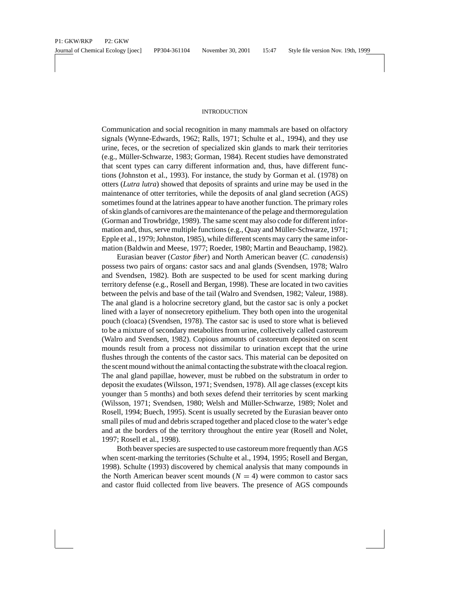### INTRODUCTION

Communication and social recognition in many mammals are based on olfactory signals (Wynne-Edwards, 1962; Ralls, 1971; Schulte et al., 1994), and they use urine, feces, or the secretion of specialized skin glands to mark their territories (e.g., M¨uller-Schwarze, 1983; Gorman, 1984). Recent studies have demonstrated that scent types can carry different information and, thus, have different functions (Johnston et al., 1993). For instance, the study by Gorman et al. (1978) on otters (*Lutra lutra*) showed that deposits of spraints and urine may be used in the maintenance of otter territories, while the deposits of anal gland secretion (AGS) sometimes found at the latrines appear to have another function. The primary roles of skin glands of carnivores are the maintenance of the pelage and thermoregulation (Gorman and Trowbridge, 1989). The same scent may also code for different information and, thus, serve multiple functions (e.g., Quay and Müller-Schwarze, 1971; Epple et al., 1979; Johnston, 1985), while different scents may carry the same information (Baldwin and Meese, 1977; Roeder, 1980; Martin and Beauchamp, 1982).

Eurasian beaver (*Castor fiber*) and North American beaver (*C. canadensis*) possess two pairs of organs: castor sacs and anal glands (Svendsen, 1978; Walro and Svendsen, 1982). Both are suspected to be used for scent marking during territory defense (e.g., Rosell and Bergan, 1998). These are located in two cavities between the pelvis and base of the tail (Walro and Svendsen, 1982; Valeur, 1988). The anal gland is a holocrine secretory gland, but the castor sac is only a pocket lined with a layer of nonsecretory epithelium. They both open into the urogenital pouch (cloaca) (Svendsen, 1978). The castor sac is used to store what is believed to be a mixture of secondary metabolites from urine, collectively called castoreum (Walro and Svendsen, 1982). Copious amounts of castoreum deposited on scent mounds result from a process not dissimilar to urination except that the urine flushes through the contents of the castor sacs. This material can be deposited on the scent mound without the animal contacting the substrate with the cloacal region. The anal gland papillae, however, must be rubbed on the substratum in order to deposit the exudates (Wilsson, 1971; Svendsen, 1978). All age classes (except kits younger than 5 months) and both sexes defend their territories by scent marking (Wilsson, 1971; Svendsen, 1980; Welsh and Müller-Schwarze, 1989; Nolet and Rosell, 1994; Buech, 1995). Scent is usually secreted by the Eurasian beaver onto small piles of mud and debris scraped together and placed close to the water's edge and at the borders of the territory throughout the entire year (Rosell and Nolet, 1997; Rosell et al., 1998).

Both beaver species are suspected to use castoreum more frequently than AGS when scent-marking the territories (Schulte et al., 1994, 1995; Rosell and Bergan, 1998). Schulte (1993) discovered by chemical analysis that many compounds in the North American beaver scent mounds  $(N = 4)$  were common to castor sacs and castor fluid collected from live beavers. The presence of AGS compounds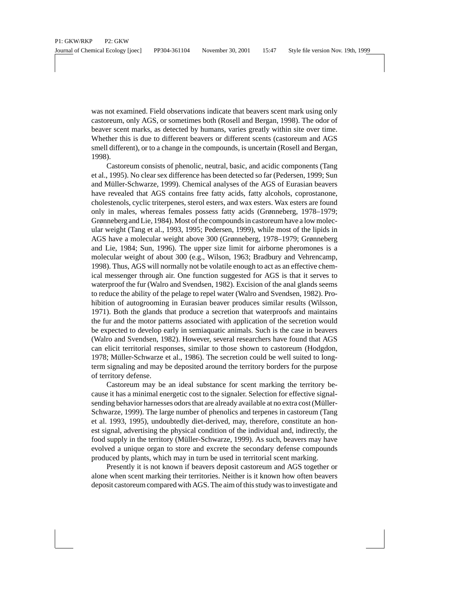was not examined. Field observations indicate that beavers scent mark using only castoreum, only AGS, or sometimes both (Rosell and Bergan, 1998). The odor of beaver scent marks, as detected by humans, varies greatly within site over time. Whether this is due to different beavers or different scents (castoreum and AGS smell different), or to a change in the compounds, is uncertain (Rosell and Bergan, 1998).

Castoreum consists of phenolic, neutral, basic, and acidic components (Tang et al., 1995). No clear sex difference has been detected so far (Pedersen, 1999; Sun and Müller-Schwarze, 1999). Chemical analyses of the AGS of Eurasian beavers have revealed that AGS contains free fatty acids, fatty alcohols, coprostanone, cholestenols, cyclic triterpenes, sterol esters, and wax esters. Wax esters are found only in males, whereas females possess fatty acids (Grønneberg, 1978–1979; Grønneberg and Lie, 1984). Most of the compounds in castoreum have a low molecular weight (Tang et al., 1993, 1995; Pedersen, 1999), while most of the lipids in AGS have a molecular weight above 300 (Grønneberg, 1978–1979; Grønneberg and Lie, 1984; Sun, 1996). The upper size limit for airborne pheromones is a molecular weight of about 300 (e.g., Wilson, 1963; Bradbury and Vehrencamp, 1998). Thus, AGS will normally not be volatile enough to act as an effective chemical messenger through air. One function suggested for AGS is that it serves to waterproof the fur (Walro and Svendsen, 1982). Excision of the anal glands seems to reduce the ability of the pelage to repel water (Walro and Svendsen, 1982). Prohibition of autogrooming in Eurasian beaver produces similar results (Wilsson, 1971). Both the glands that produce a secretion that waterproofs and maintains the fur and the motor patterns associated with application of the secretion would be expected to develop early in semiaquatic animals. Such is the case in beavers (Walro and Svendsen, 1982). However, several researchers have found that AGS can elicit territorial responses, similar to those shown to castoreum (Hodgdon, 1978; Müller-Schwarze et al., 1986). The secretion could be well suited to longterm signaling and may be deposited around the territory borders for the purpose of territory defense.

Castoreum may be an ideal substance for scent marking the territory because it has a minimal energetic cost to the signaler. Selection for effective signalsending behavior harnesses odors that are already available at no extra cost (Müller-Schwarze, 1999). The large number of phenolics and terpenes in castoreum (Tang et al. 1993, 1995), undoubtedly diet-derived, may, therefore, constitute an honest signal, advertising the physical condition of the individual and, indirectly, the food supply in the territory (Müller-Schwarze, 1999). As such, beavers may have evolved a unique organ to store and excrete the secondary defense compounds produced by plants, which may in turn be used in territorial scent marking.

Presently it is not known if beavers deposit castoreum and AGS together or alone when scent marking their territories. Neither is it known how often beavers deposit castoreum compared with AGS. The aim of this study was to investigate and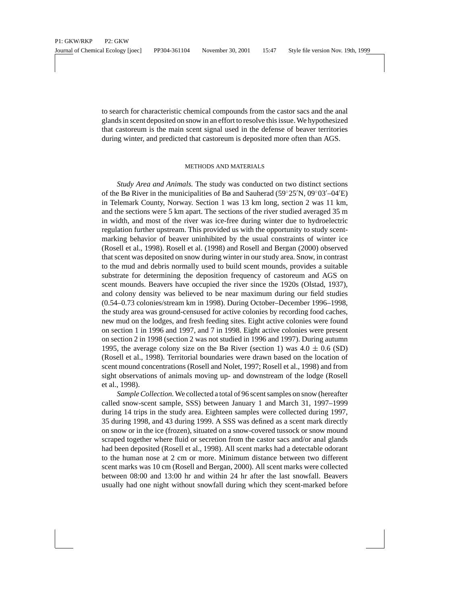to search for characteristic chemical compounds from the castor sacs and the anal glands in scent deposited on snow in an effort to resolve this issue. We hypothesized that castoreum is the main scent signal used in the defense of beaver territories during winter, and predicted that castoreum is deposited more often than AGS.

## METHODS AND MATERIALS

*Study Area and Animals.* The study was conducted on two distinct sections of the Bø River in the municipalities of Bø and Sauherad (59°25′N, 09°03′–04′E) in Telemark County, Norway. Section 1 was 13 km long, section 2 was 11 km, and the sections were 5 km apart. The sections of the river studied averaged 35 m in width, and most of the river was ice-free during winter due to hydroelectric regulation further upstream. This provided us with the opportunity to study scentmarking behavior of beaver uninhibited by the usual constraints of winter ice (Rosell et al., 1998). Rosell et al. (1998) and Rosell and Bergan (2000) observed that scent was deposited on snow during winter in our study area. Snow, in contrast to the mud and debris normally used to build scent mounds, provides a suitable substrate for determining the deposition frequency of castoreum and AGS on scent mounds. Beavers have occupied the river since the 1920s (Olstad, 1937), and colony density was believed to be near maximum during our field studies (0.54–0.73 colonies/stream km in 1998). During October–December 1996–1998, the study area was ground-censused for active colonies by recording food caches, new mud on the lodges, and fresh feeding sites. Eight active colonies were found on section 1 in 1996 and 1997, and 7 in 1998. Eight active colonies were present on section 2 in 1998 (section 2 was not studied in 1996 and 1997). During autumn 1995, the average colony size on the Bø River (section 1) was  $4.0 \pm 0.6$  (SD) (Rosell et al., 1998). Territorial boundaries were drawn based on the location of scent mound concentrations (Rosell and Nolet, 1997; Rosell et al., 1998) and from sight observations of animals moving up- and downstream of the lodge (Rosell et al., 1998).

*Sample Collection.*We collected a total of 96 scent samples on snow (hereafter called snow-scent sample, SSS) between January 1 and March 31, 1997–1999 during 14 trips in the study area. Eighteen samples were collected during 1997, 35 during 1998, and 43 during 1999. A SSS was defined as a scent mark directly on snow or in the ice (frozen), situated on a snow-covered tussock or snow mound scraped together where fluid or secretion from the castor sacs and/or anal glands had been deposited (Rosell et al., 1998). All scent marks had a detectable odorant to the human nose at 2 cm or more. Minimum distance between two different scent marks was 10 cm (Rosell and Bergan, 2000). All scent marks were collected between 08:00 and 13:00 hr and within 24 hr after the last snowfall. Beavers usually had one night without snowfall during which they scent-marked before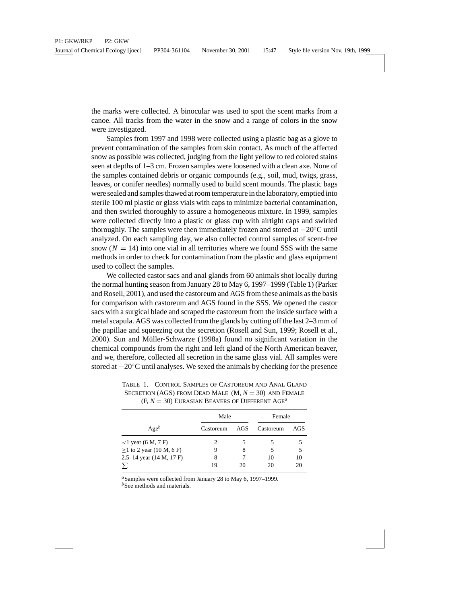the marks were collected. A binocular was used to spot the scent marks from a canoe. All tracks from the water in the snow and a range of colors in the snow were investigated.

Samples from 1997 and 1998 were collected using a plastic bag as a glove to prevent contamination of the samples from skin contact. As much of the affected snow as possible was collected, judging from the light yellow to red colored stains seen at depths of 1–3 cm. Frozen samples were loosened with a clean axe. None of the samples contained debris or organic compounds (e.g., soil, mud, twigs, grass, leaves, or conifer needles) normally used to build scent mounds. The plastic bags were sealed and samples thawed at room temperature in the laboratory, emptied into sterile 100 ml plastic or glass vials with caps to minimize bacterial contamination, and then swirled thoroughly to assure a homogeneous mixture. In 1999, samples were collected directly into a plastic or glass cup with airtight caps and swirled thoroughly. The samples were then immediately frozen and stored at −20◦C until analyzed. On each sampling day, we also collected control samples of scent-free snow  $(N = 14)$  into one vial in all territories where we found SSS with the same methods in order to check for contamination from the plastic and glass equipment used to collect the samples.

We collected castor sacs and anal glands from 60 animals shot locally during the normal hunting season from January 28 to May 6, 1997–1999 (Table 1) (Parker and Rosell, 2001), and used the castoreum and AGS from these animals as the basis for comparison with castoreum and AGS found in the SSS. We opened the castor sacs with a surgical blade and scraped the castoreum from the inside surface with a metal scapula. AGS was collected from the glands by cutting off the last 2–3 mm of the papillae and squeezing out the secretion (Rosell and Sun, 1999; Rosell et al., 2000). Sun and Müller-Schwarze (1998a) found no significant variation in the chemical compounds from the right and left gland of the North American beaver, and we, therefore, collected all secretion in the same glass vial. All samples were stored at −20◦C until analyses. We sexed the animals by checking for the presence

|                                | Male      |     | Female    |     |
|--------------------------------|-----------|-----|-----------|-----|
| $Age^b$                        | Castoreum | AGS | Castoreum | AGS |
| $<$ 1 year (6 M, 7 F)          |           |     |           |     |
| $\geq$ 1 to 2 year (10 M, 6 F) | 9         | 8   |           | 5   |
| 2.5–14 year $(14 M, 17 F)$     | 8         |     | 10        | 10  |
|                                | 19        | 20  | 20        | 20  |

TABLE 1. CONTROL SAMPLES OF CASTOREUM AND ANAL GLAND SECRETION (AGS) FROM DEAD MALE (M, *N* = 30) AND FEMALE  $(F, N = 30)$  EURASIAN BEAVERS OF DIFFERENT AGE<sup>*a*</sup>

*<sup>a</sup>*Samples were collected from January 28 to May 6, 1997–1999.

<sup>*b*</sup>See methods and materials.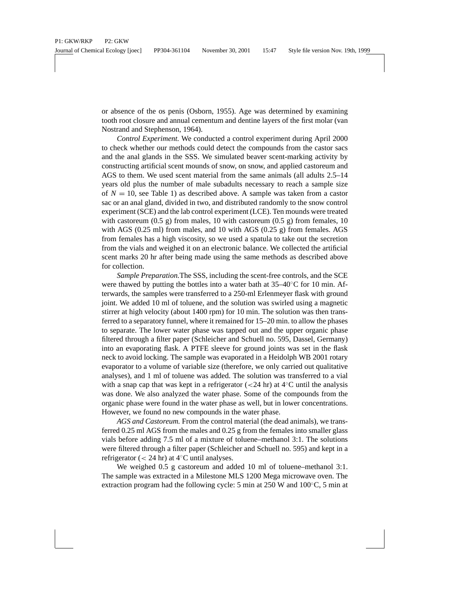or absence of the os penis (Osborn, 1955). Age was determined by examining tooth root closure and annual cementum and dentine layers of the first molar (van Nostrand and Stephenson, 1964).

*Control Experiment.* We conducted a control experiment during April 2000 to check whether our methods could detect the compounds from the castor sacs and the anal glands in the SSS. We simulated beaver scent-marking activity by constructing artificial scent mounds of snow, on snow, and applied castoreum and AGS to them. We used scent material from the same animals (all adults 2.5–14 years old plus the number of male subadults necessary to reach a sample size of  $N = 10$ , see Table 1) as described above. A sample was taken from a castor sac or an anal gland, divided in two, and distributed randomly to the snow control experiment (SCE) and the lab control experiment (LCE). Ten mounds were treated with castoreum  $(0.5 \text{ g})$  from males, 10 with castoreum  $(0.5 \text{ g})$  from females, 10 with AGS  $(0.25 \text{ ml})$  from males, and 10 with AGS  $(0.25 \text{ g})$  from females. AGS from females has a high viscosity, so we used a spatula to take out the secretion from the vials and weighed it on an electronic balance. We collected the artificial scent marks 20 hr after being made using the same methods as described above for collection.

*Sample Preparation.*The SSS, including the scent-free controls, and the SCE were thawed by putting the bottles into a water bath at  $35-40^{\circ}$ C for 10 min. Afterwards, the samples were transferred to a 250-ml Erlenmeyer flask with ground joint. We added 10 ml of toluene, and the solution was swirled using a magnetic stirrer at high velocity (about 1400 rpm) for 10 min. The solution was then transferred to a separatory funnel, where it remained for 15–20 min. to allow the phases to separate. The lower water phase was tapped out and the upper organic phase filtered through a filter paper (Schleicher and Schuell no. 595, Dassel, Germany) into an evaporating flask. A PTFE sleeve for ground joints was set in the flask neck to avoid locking. The sample was evaporated in a Heidolph WB 2001 rotary evaporator to a volume of variable size (therefore, we only carried out qualitative analyses), and 1 ml of toluene was added. The solution was transferred to a vial with a snap cap that was kept in a refrigerator ( $\langle 24 \text{ hr} \rangle$  at  $4\degree \text{C}$  until the analysis was done. We also analyzed the water phase. Some of the compounds from the organic phase were found in the water phase as well, but in lower concentrations. However, we found no new compounds in the water phase.

*AGS and Castoreum.* From the control material (the dead animals), we transferred 0.25 ml AGS from the males and 0.25 g from the females into smaller glass vials before adding 7.5 ml of a mixture of toluene–methanol 3:1. The solutions were filtered through a filter paper (Schleicher and Schuell no. 595) and kept in a refrigerator ( $<$  24 hr) at 4 $°C$  until analyses.

We weighed 0.5 g castoreum and added 10 ml of toluene–methanol 3:1. The sample was extracted in a Milestone MLS 1200 Mega microwave oven. The extraction program had the following cycle: 5 min at  $250$  W and  $100^{\circ}$ C, 5 min at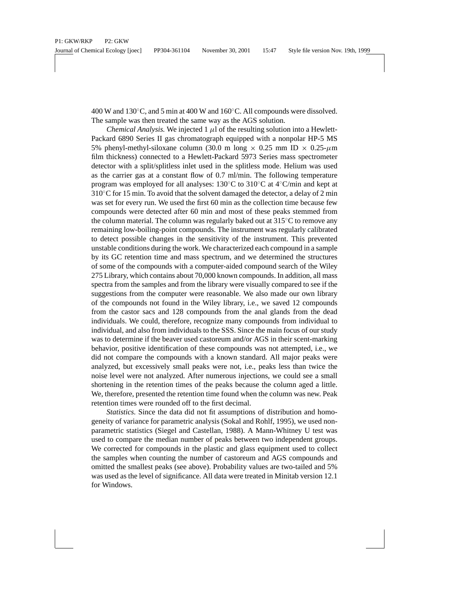400 W and 130◦C, and 5 min at 400 W and 160◦C. All compounds were dissolved. The sample was then treated the same way as the AGS solution.

*Chemical Analysis.* We injected 1  $\mu$ l of the resulting solution into a Hewlett-Packard 6890 Series II gas chromatograph equipped with a nonpolar HP-5 MS 5% phenyl-methyl-siloxane column (30.0 m long  $\times$  0.25 mm ID  $\times$  0.25- $\mu$ m film thickness) connected to a Hewlett-Packard 5973 Series mass spectrometer detector with a split/splitless inlet used in the splitless mode. Helium was used as the carrier gas at a constant flow of 0.7 ml/min. The following temperature program was employed for all analyses: 130◦C to 310◦C at 4◦C/min and kept at  $310^{\circ}$ C for 15 min. To avoid that the solvent damaged the detector, a delay of 2 min was set for every run. We used the first 60 min as the collection time because few compounds were detected after 60 min and most of these peaks stemmed from the column material. The column was regularly baked out at  $315^{\circ}$ C to remove any remaining low-boiling-point compounds. The instrument was regularly calibrated to detect possible changes in the sensitivity of the instrument. This prevented unstable conditions during the work. We characterized each compound in a sample by its GC retention time and mass spectrum, and we determined the structures of some of the compounds with a computer-aided compound search of the Wiley 275 Library, which contains about 70,000 known compounds. In addition, all mass spectra from the samples and from the library were visually compared to see if the suggestions from the computer were reasonable. We also made our own library of the compounds not found in the Wiley library, i.e., we saved 12 compounds from the castor sacs and 128 compounds from the anal glands from the dead individuals. We could, therefore, recognize many compounds from individual to individual, and also from individuals to the SSS. Since the main focus of our study was to determine if the beaver used castoreum and/or AGS in their scent-marking behavior, positive identification of these compounds was not attempted, i.e., we did not compare the compounds with a known standard. All major peaks were analyzed, but excessively small peaks were not, i.e., peaks less than twice the noise level were not analyzed. After numerous injections, we could see a small shortening in the retention times of the peaks because the column aged a little. We, therefore, presented the retention time found when the column was new. Peak retention times were rounded off to the first decimal.

*Statistics.* Since the data did not fit assumptions of distribution and homogeneity of variance for parametric analysis (Sokal and Rohlf, 1995), we used nonparametric statistics (Siegel and Castellan, 1988). A Mann-Whitney U test was used to compare the median number of peaks between two independent groups. We corrected for compounds in the plastic and glass equipment used to collect the samples when counting the number of castoreum and AGS compounds and omitted the smallest peaks (see above). Probability values are two-tailed and 5% was used as the level of significance. All data were treated in Minitab version 12.1 for Windows.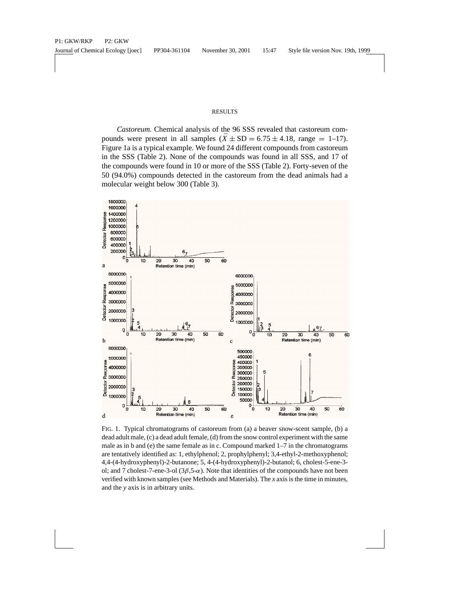### RESULTS

*Castoreum.* Chemical analysis of the 96 SSS revealed that castoreum compounds were present in all samples  $(\bar{X} \pm SD = 6.75 \pm 4.18$ , range = 1–17). Figure 1a is a typical example. We found 24 different compounds from castoreum in the SSS (Table 2). None of the compounds was found in all SSS, and 17 of the compounds were found in 10 or more of the SSS (Table 2). Forty-seven of the 50 (94.0%) compounds detected in the castoreum from the dead animals had a molecular weight below 300 (Table 3).



FIG. 1. Typical chromatograms of castoreum from (a) a beaver snow-scent sample, (b) a dead adult male, (c) a dead adult female, (d) from the snow control experiment with the same male as in b and (e) the same female as in c. Compound marked 1–7 in the chromatograms are tentatively identified as: 1, ethylphenol; 2, prophylphenyl; 3,4-ethyl-2-methoxyphenol; 4,4-(4-hydroxyphenyl)-2-butanone; 5, 4-(4-hydroxyphenyl)-2-butanol; 6, cholest-5-ene-3 ol; and 7 cholest-7-ene-3-ol  $(3\beta, 5\text{-}\alpha)$ . Note that identities of the compounds have not been verified with known samples (see Methods and Materials). The *x* axis is the time in minutes, and the *y* axis is in arbitrary units.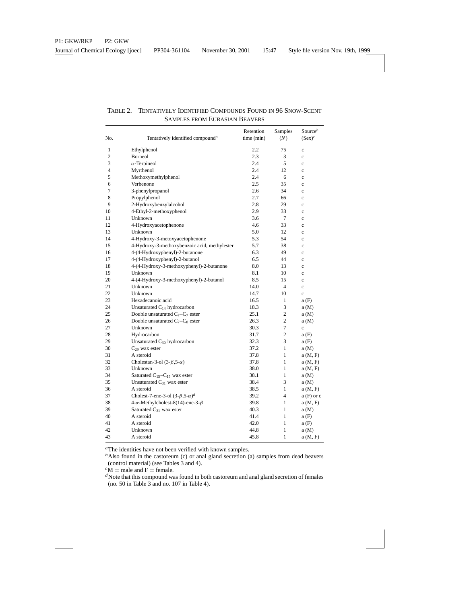| No.          | Tentatively identified compound <sup>a</sup>    | Retention<br>time (min) | Samples<br>(N) | Source $^b$<br>$(Sex)^c$ |
|--------------|-------------------------------------------------|-------------------------|----------------|--------------------------|
| $\mathbf{1}$ | Ethylphenol                                     | 2.2                     | 75             | $\mathbf c$              |
| 2            | Borneol                                         | 2.3                     | 3              | $\mathbf c$              |
| 3            | $\alpha$ -Terpineol                             | 2.4                     | 5              | $\mathbf c$              |
| 4            | Myrthenol                                       | 2.4                     | 12             | $\mathbf c$              |
| 5            | Methoxymethylphenol                             | 2.4                     | 6              | $\mathbf c$              |
| 6            | Verbenone                                       | 2.5                     | 35             | $\mathbf c$              |
| 7            | 3-phenylpropanol                                | 2.6                     | 34             | $\mathbf c$              |
| 8            | Propylphenol                                    | 2.7                     | 66             | $\mathbf c$              |
| 9            | 2-Hydroxybenzylalcohol                          | 2.8                     | 29             | $\mathbf c$              |
| 10           | 4-Ethyl-2-methoxyphenol                         | 2.9                     | 33             | $\mathbf c$              |
| 11           | Unknown                                         | 3.6                     | 7              | $\mathbf c$              |
| 12           | 4-Hydroxyacetophenone                           | 4.6                     | 33             | $\mathbf c$              |
| 13           | Unknown                                         | 5.0                     | 12             | $\mathbf c$              |
| 14           | 4-Hydroxy-3-metoxyacetophenone                  | 5.3                     | 54             | $\mathbf c$              |
| 15           | 4-Hydroxy-3-methoxybenzoic acid, methylester    | 5.7                     | 38             | $\mathbf c$              |
| 16           | 4-(4-Hydroxyphenyl)-2-butanone                  | 6.3                     | 49             | $\mathbf c$              |
| 17           | 4-(4-Hydroxyphenyl)-2-butanol                   | 6.5                     | 44             | $\mathbf c$              |
| 18           | 4-(4-Hydroxy-3-methoxyphenyl)-2-butanone        | 8.0                     | 13             | $\mathbf c$              |
| 19           | Unknown                                         | 8.1                     | 10             | $\mathbf c$              |
| 20           | 4-(4-Hydroxy-3-methoxyphenyl)-2-butanol         | 8.5                     | 15             | $\mathbf c$              |
| 21           | Unknown                                         | 14.0                    | $\overline{4}$ | $\mathbf c$              |
| 22           | Unknown                                         | 14.7                    | 10             | $\mathbf c$              |
| 23           | Hexadecanoic acid                               | 16.5                    | $\mathbf{1}$   | a(F)                     |
| 24           | Unsaturated $C_{14}$ hydrocarbon                | 18.3                    | 3              | a(M)                     |
| 25           | Double unsaturated $C_7 - C_7$ ester            | 25.1                    | $\overline{c}$ | a(M)                     |
| 26           | Double unsaturated $C_7-C_8$ ester              | 26.3                    | $\overline{c}$ | a(M)                     |
| 27           | Unknown                                         | 30.3                    | $\overline{7}$ | $\ddot{\text{c}}$        |
| 28           | Hydrocarbon                                     | 31.7                    | $\overline{c}$ | a(F)                     |
| 29           | Unsaturated C <sub>30</sub> hydrocarbon         | 32.3                    | 3              | a(F)                     |
| 30           | $C_{29}$ wax ester                              | 37.2                    | $\mathbf{1}$   | a(M)                     |
| 31           | A steroid                                       | 37.8                    | 1              | a(M, F)                  |
| 32           | Cholestan-3-ol $(3-\beta,5-\alpha)$             | 37.8                    | $\mathbf{1}$   | a(M, F)                  |
| 33           | Unknown                                         | 38.0                    | 1              | a(M, F)                  |
| 34           | Saturated $C_{15}-C_{15}$ wax ester             | 38.1                    | $\mathbf{1}$   | a(M)                     |
| 35           | Unsaturated $C_{31}$ wax ester                  | 38.4                    | 3              | a(M)                     |
| 36           | A steroid                                       | 38.5                    | 1              | a(M, F)                  |
| 37           | Cholest-7-ene-3-ol $(3-\beta,5-\alpha)^d$       | 39.2                    | $\overline{4}$ | $a(F)$ or c              |
| 38           | 4- $\alpha$ -Methylcholest-8(14)-ene-3- $\beta$ | 39.8                    | $\mathbf{1}$   | a(M, F)                  |
| 39           | Saturated $C_{31}$ wax ester                    | 40.3                    | 1              | a(M)                     |
| 40           | A steroid                                       | 41.4                    | 1              | a(F)                     |
| 41           | A steroid                                       | 42.0                    | 1              | a(F)                     |
| 42           | Unknown                                         | 44.8                    | 1              | a(M)                     |
| 43           | A steroid                                       | 45.8                    | 1              | a(M, F)                  |

## TABLE 2. TENTATIVELY IDENTIFIED COMPOUNDS FOUND IN 96 SNOW-SCENT SAMPLES FROM EURASIAN BEAVERS

*<sup>a</sup>*The identities have not been verified with known samples.

*b*Also found in the castoreum (c) or anal gland secretion (a) samples from dead beavers (control material) (see Tables 3 and 4).<br>  ${}^{c}$ M = male and F = female.

 $d$ Note that this compound was found in both castoreum and anal gland secretion of females (no. 50 in Table 3 and no. 107 in Table 4).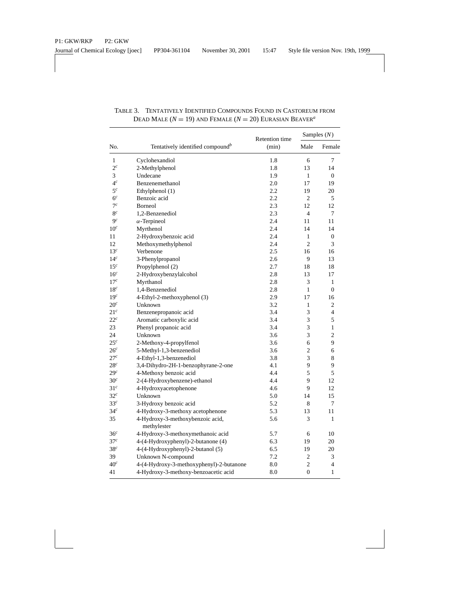|                 |                                                 | Retention time |                | Samples $(N)$    |
|-----------------|-------------------------------------------------|----------------|----------------|------------------|
| No.             | Tentatively identified compound <sup>b</sup>    | (min)          | Male           | Female           |
| $\mathbf{1}$    | Cyclohexandiol                                  | 1.8            | 6              | 7                |
| $2^c$           | 2-Methylphenol                                  | 1.8            | 13             | 14               |
| 3               | Undecane                                        | 1.9            | 1              | $\mathbf{0}$     |
| 4 <sup>c</sup>  | Benzenemethanol                                 | 2.0            | 17             | 19               |
| 5 <sup>c</sup>  | Ethylphenol (1)                                 | 2.2            | 19             | 20               |
| $6^c\,$         | Benzoic acid                                    | 2.2            | $\mathfrak{2}$ | 5                |
| $7^c$           | Borneol                                         | 2.3            | 12             | 12               |
| 8 <sup>c</sup>  | 1,2-Benzenediol                                 | 2.3            | $\overline{4}$ | 7                |
| 9 <sup>c</sup>  | $\alpha$ -Terpineol                             | 2.4            | 11             | 11               |
| 10 <sup>c</sup> | Myrthenol                                       | 2.4            | 14             | 14               |
| 11              | 2-Hydroxybenzoic acid                           | 2.4            | 1              | $\boldsymbol{0}$ |
| 12              | Methoxymethylphenol                             | 2.4            | $\overline{c}$ | 3                |
| 13 <sup>c</sup> | Verbenone                                       | 2.5            | 16             | 16               |
| 14 <sup>c</sup> | 3-Phenylpropanol                                | 2.6            | 9              | 13               |
| 15 <sup>c</sup> | Propylphenol (2)                                | 2.7            | 18             | 18               |
| 16 <sup>c</sup> | 2-Hydroxybenzylalcohol                          | 2.8            | 13             | 17               |
| 17 <sup>c</sup> | Myrthanol                                       | 2.8            | 3              | $\mathbf{1}$     |
| 18 <sup>c</sup> | 1,4-Benzenediol                                 | 2.8            | 1              | $\mathbf{0}$     |
| 19 <sup>c</sup> | 4-Ethyl-2-methoxyphenol (3)                     | 2.9            | 17             | 16               |
| 20 <sup>c</sup> | Unknown                                         | 3.2            | 1              | 2                |
| 21 <sup>c</sup> | Benzenepropanoic acid                           | 3.4            | 3              | $\overline{4}$   |
| $22^c$          | Aromatic carboxylic acid                        | 3.4            | 3              | 5                |
| 23              | Phenyl propanoic acid                           | 3.4            | 3              | 1                |
| 24              | Unknown                                         | 3.6            | 3              | $\overline{c}$   |
| $25^c$          | 2-Methoxy-4-propylfenol                         | 3.6            | 6              | 9                |
| 26 <sup>c</sup> | 5-Methyl-1,3-benzenediol                        | 3.6            | $\mathfrak{2}$ | 6                |
| 27 <sup>c</sup> | 4-Ethyl-1,3-benzenediol                         | 3.8            | 3              | 8                |
| 28 <sup>c</sup> | 3,4-Dihydro-2H-1-benzophyrane-2-one             | 4.1            | 9              | 9                |
| 29 <sup>c</sup> | 4-Methoxy benzoic acid                          | 4.4            | 5              | 5                |
| 30 <sup>c</sup> | 2-(4-Hydroxybenzene)-ethanol                    | 4.4            | 9              | 12               |
| 31 <sup>c</sup> | 4-Hydroxyacetophenone                           | 4.6            | 9              | 12               |
| $32^c$          | Unknown                                         | 5.0            | 14             | 15               |
| 33 <sup>c</sup> | 3-Hydroxy benzoic acid                          | 5.2            | 8              | 7                |
| 34 <sup>c</sup> | 4-Hydroxy-3-methoxy acetophenone                | 5.3            | 13             | 11               |
| 35              | 4-Hydroxy-3-methoxybenzoic acid,<br>methylester | 5.6            | 3              | 1                |
| 36 <sup>c</sup> | 4-Hydroxy-3-methoxymethanoic acid               | 5.7            | 6              | 10               |
| 37 <sup>c</sup> | 4-(4-Hydroxyphenyl)-2-butanone (4)              | 6.3            | 19             | 20               |
| 38 <sup>c</sup> | 4-(4-Hydroxyphenyl)-2-butanol (5)               | 6.5            | 19             | 20               |
| 39              | Unknown N-compound                              | 7.2            | 2              | 3                |
| 40 <sup>c</sup> | 4-(4-Hydroxy-3-methoxyphenyl)-2-butanone        | 8.0            | 2              | 4                |
| 41              | 4-Hydroxy-3-methoxy-benzoacetic acid            | 8.0            | $\overline{0}$ | 1                |

TABLE 3. TENTATIVELY IDENTIFIED COMPOUNDS FOUND IN CASTOREUM FROM DEAD MALE  $(N = 19)$  and FEMALE  $(N = 20)$  EURASIAN BEAVER<sup>*a*</sup>

 $\overline{\phantom{a}}$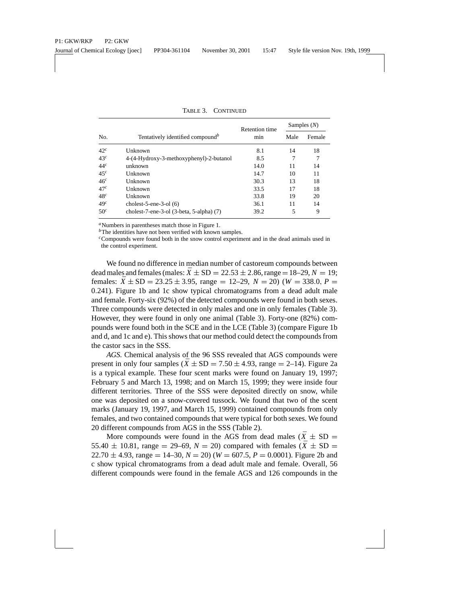|                 |                                              | <b>Retention time</b> |      | Samples $(N)$ |
|-----------------|----------------------------------------------|-----------------------|------|---------------|
| No.             | Tentatively identified compound <sup>b</sup> | min                   | Male | Female        |
| 42 <sup>c</sup> | Unknown                                      | 8.1                   | 14   | 18            |
| 43 <sup>c</sup> | 4-(4-Hydroxy-3-methoxyphenyl)-2-butanol      | 8.5                   |      |               |
| 44 <sup>c</sup> | unknown                                      | 14.0                  | 11   | 14            |
| 45 <sup>c</sup> | Unknown                                      | 14.7                  | 10   | 11            |
| 46 <sup>c</sup> | Unknown                                      | 30.3                  | 13   | 18            |
| 47 <sup>c</sup> | Unknown                                      | 33.5                  | 17   | 18            |
| 48 <sup>c</sup> | Unknown                                      | 33.8                  | 19   | 20            |
| 49 <sup>c</sup> | cholest-5-ene-3-ol $(6)$                     | 36.1                  | 11   | 14            |
| 50 <sup>c</sup> | cholest-7-ene-3-ol $(3-beta, 5-alpha)$ $(7)$ | 39.2                  | 5    | 9             |

TABLE 3. CONTINUED

*<sup>a</sup>*Numbers in parentheses match those in Figure 1.

*<sup>b</sup>*The identities have not been verified with known samples.

*<sup>c</sup>*Compounds were found both in the snow control experiment and in the dead animals used in the control experiment.

We found no difference in median number of castoreum compounds between dead males and females (males:  $\bar{X} \pm SD = 22.53 \pm 2.86$ , range = 18–29,  $N = 19$ ; females:  $\bar{X} \pm SD = 23.25 \pm 3.95$ , range = 12–29,  $N = 20$ ) ( $W = 338.0$ ,  $P =$ 0.241). Figure 1b and 1c show typical chromatograms from a dead adult male and female. Forty-six (92%) of the detected compounds were found in both sexes. Three compounds were detected in only males and one in only females (Table 3). However, they were found in only one animal (Table 3). Forty-one (82%) compounds were found both in the SCE and in the LCE (Table 3) (compare Figure 1b and d, and 1c and e). This shows that our method could detect the compounds from the castor sacs in the SSS.

*AGS.* Chemical analysis of the 96 SSS revealed that AGS compounds were present in only four samples ( $\bar{X} \pm SD = 7.50 \pm 4.93$ , range = 2–14). Figure 2a is a typical example. These four scent marks were found on January 19, 1997; February 5 and March 13, 1998; and on March 15, 1999; they were inside four different territories. Three of the SSS were deposited directly on snow, while one was deposited on a snow-covered tussock. We found that two of the scent marks (January 19, 1997, and March 15, 1999) contained compounds from only females, and two contained compounds that were typical for both sexes. We found 20 different compounds from AGS in the SSS (Table 2).

More compounds were found in the AGS from dead males ( $\bar{X} \pm SD =$ 55.40  $\pm$  10.81, range = 29–69,  $N = 20$ ) compared with females ( $\bar{X} \pm SD =$ 22.70  $\pm$  4.93, range = 14–30,  $N = 20$ ) ( $W = 607.5$ ,  $P = 0.0001$ ). Figure 2b and c show typical chromatograms from a dead adult male and female. Overall, 56 different compounds were found in the female AGS and 126 compounds in the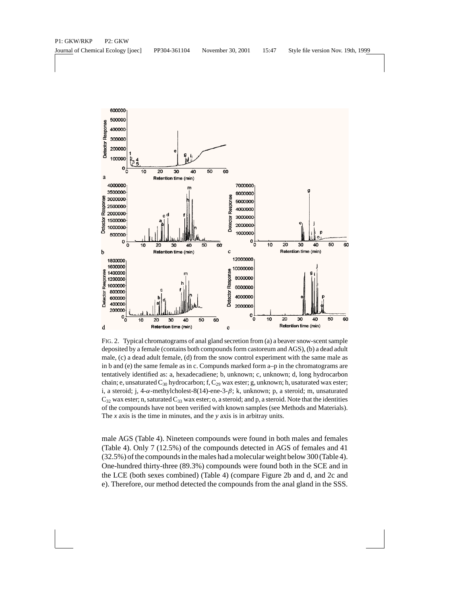

FIG. 2. Typical chromatograms of anal gland secretion from (a) a beaver snow-scent sample deposited by a female (contains both compounds form castoreum and AGS), (b) a dead adult male, (c) a dead adult female, (d) from the snow control experiment with the same male as in b and (e) the same female as in c. Compunds marked form a–p in the chromatograms are tentatively identified as: a, hexadecadiene; b, unknown; c, unknown; d, long hydrocarbon chain; e, unsaturated  $C_{30}$  hydrocarbon; f,  $C_{29}$  wax ester; g, unknown; h, usaturated wax ester; i, a steroid; j,  $4-\alpha$ -methylcholest-8(14)-ene-3- $\beta$ ; k, unknown; p, a steroid; m, unsaturated  $C_{32}$  wax ester; n, saturated  $C_{33}$  wax ester; o, a steroid; and p, a steroid. Note that the identities of the compounds have not been verified with known samples (see Methods and Materials). The *x* axis is the time in minutes, and the *y* axis is in arbitray units.

male AGS (Table 4). Nineteen compounds were found in both males and females (Table 4). Only 7 (12.5%) of the compounds detected in AGS of females and 41 (32.5%) of the compounds in the males had a molecular weight below 300 (Table 4). One-hundred thirty-three (89.3%) compounds were found both in the SCE and in the LCE (both sexes combined) (Table 4) (compare Figure 2b and d, and 2c and e). Therefore, our method detected the compounds from the anal gland in the SSS.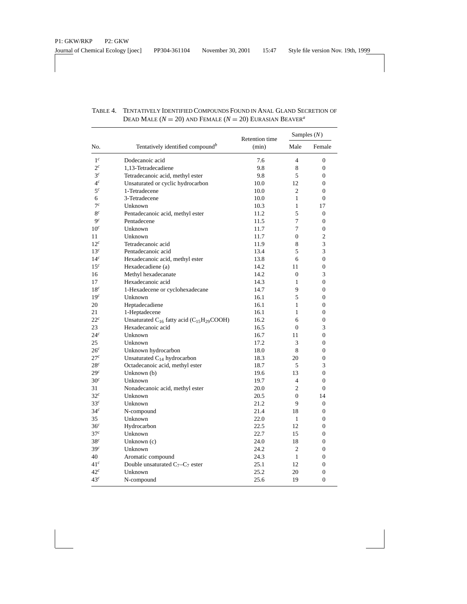| No.             | Tentatively identified compound <sup>b</sup>                                  | <b>Retention</b> time | Samples $(N)$  |                  |
|-----------------|-------------------------------------------------------------------------------|-----------------------|----------------|------------------|
|                 |                                                                               | (min)                 | Male           | Female           |
| $1^c\,$         | Dodecanoic acid                                                               | 7.6                   | $\overline{4}$ | $\overline{0}$   |
| $2^c$           | 1,13-Tetradecadiene                                                           | 9.8                   | 8              | $\mathbf{0}$     |
| 3 <sup>c</sup>  | Tetradecanoic acid, methyl ester                                              | 9.8                   | 5              | $\mathbf{0}$     |
| $4^c$           | Unsaturated or cyclic hydrocarbon                                             | 10.0                  | 12             | $\Omega$         |
| 5 <sup>c</sup>  | 1-Tetradecene                                                                 | 10.0                  | $\mathfrak{D}$ | $\Omega$         |
| 6               | 3-Tetradecene                                                                 | 10.0                  | 1              | $\boldsymbol{0}$ |
| $7^c$           | Unknown                                                                       | 10.3                  | $\mathbf{1}$   | 17               |
| 8 <sup>c</sup>  | Pentadecanoic acid, methyl ester                                              | 11.2                  | 5              | $\boldsymbol{0}$ |
| 9 <sup>c</sup>  | Pentadecene                                                                   | 11.5                  | 7              | $\mathbf{0}$     |
| 10 <sup>c</sup> | Unknown                                                                       | 11.7                  | 7              | 0                |
| 11              | Unknown                                                                       | 11.7                  | $\overline{0}$ | $\overline{c}$   |
| 12 <sup>c</sup> | Tetradecanoic acid                                                            | 11.9                  | 8              | 3                |
| 13 <sup>c</sup> | Pentadecanoic acid                                                            | 13.4                  | 5              | 3                |
| 14 <sup>c</sup> | Hexadecanoic acid, methyl ester                                               | 13.8                  | 6              | $\overline{0}$   |
| 15 <sup>c</sup> | Hexadecadiene (a)                                                             | 14.2                  | 11             | 0                |
| 16              | Methyl hexadecanate                                                           | 14.2                  | $\mathbf{0}$   | 3                |
| 17              | Hexadecanoic acid                                                             | 14.3                  | 1              | $\mathbf{0}$     |
| 18 <sup>c</sup> | 1-Hexadecene or cyclohexadecane                                               | 14.7                  | 9              | $\Omega$         |
| 19 <sup>c</sup> | Unknown                                                                       | 16.1                  | 5              | $\mathbf{0}$     |
| 20              | Heptadecadiene                                                                | 16.1                  | 1              | 0                |
| 21              | 1-Heptadecene                                                                 | 16.1                  | 1              | $\boldsymbol{0}$ |
| $22^c$          | Unsaturated C <sub>16</sub> fatty acid (C <sub>15</sub> H <sub>29</sub> COOH) | 16.2                  | 6              | $\boldsymbol{0}$ |
| 23              | Hexadecanoic acid                                                             | 16.5                  | $\mathbf{0}$   | 3                |
| 24 <sup>c</sup> | Unknown                                                                       | 16.7                  | 11             | 0                |
| 25              | Unknown                                                                       | 17.2                  | 3              | $\overline{0}$   |
| 26 <sup>c</sup> | Unknown hydrocarbon                                                           | 18.0                  | 8              | 0                |
| 27 <sup>c</sup> | Unsaturated C <sub>14</sub> hydrocarbon                                       | 18.3                  | 20             | $\mathbf{0}$     |
| 28 <sup>c</sup> | Octadecanoic acid, methyl ester                                               | 18.7                  | 5              | 3                |
| 29 <sup>c</sup> | Unknown (b)                                                                   | 19.6                  | 13             | $\overline{0}$   |
| 30 <sup>c</sup> | Unknown                                                                       | 19.7                  | $\overline{4}$ | $\overline{0}$   |
| 31              | Nonadecanoic acid, methyl ester                                               | 20.0                  | $\overline{c}$ | $\Omega$         |
| $32^c$          | Unknown                                                                       | 20.5                  | $\mathbf{0}$   | 14               |
| 33 <sup>c</sup> | Unknown                                                                       | 21.2                  | 9              | $\mathbf{0}$     |
| 34 <sup>c</sup> | N-compound                                                                    | 21.4                  | 18             | $\Omega$         |
| 35              | Unknown                                                                       | 22.0                  | 1              | $\mathbf{0}$     |
| 36 <sup>c</sup> | Hydrocarbon                                                                   | 22.5                  | 12             | 0                |
| 37 <sup>c</sup> | Unknown                                                                       | 22.7                  | 15             | 0                |
| 38 <sup>c</sup> | Unknown (c)                                                                   | 24.0                  | 18             | $\mathbf{0}$     |
| 39 <sup>c</sup> | Unknown                                                                       | 24.2                  | $\overline{c}$ | $\mathbf{0}$     |
| 40              | Aromatic compound                                                             | 24.3                  | $\mathbf{1}$   | $\boldsymbol{0}$ |
| 41 <sup>c</sup> | Double unsaturated $C_7 - C_7$ ester                                          | 25.1                  | 12             | 0                |
| 42 <sup>c</sup> | Unknown                                                                       | 25.2                  | 20             | 0                |
| 43 <sup>c</sup> | N-compound                                                                    | 25.6                  | 19             | $\overline{0}$   |

## TABLE 4. TENTATIVELY IDENTIFIED COMPOUNDS FOUND IN ANAL GLAND SECRETION OF DEAD MALE  $(N = 20)$  AND FEMALE  $(N = 20)$  EURASIAN BEAVER<sup>a</sup>

 $\overline{\phantom{a}}$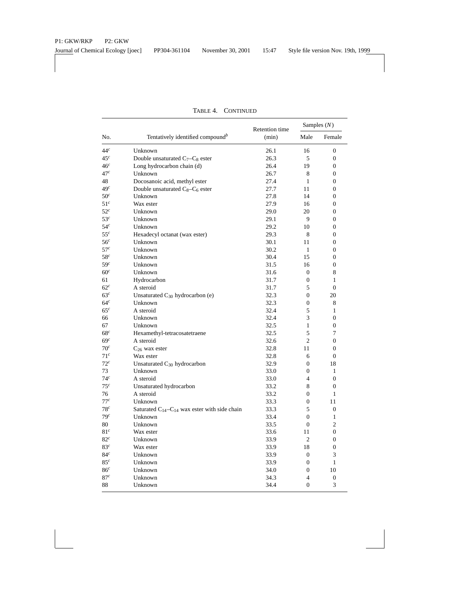| No.             | Tentatively identified compound <sup>b</sup>            | Retention time | Samples $(N)$    |                  |
|-----------------|---------------------------------------------------------|----------------|------------------|------------------|
|                 |                                                         | (min)          | Male             | Female           |
| 44 <sup>c</sup> | Unknown                                                 | 26.1           | 16               | 0                |
| 45 <sup>c</sup> | Double unsaturated C <sub>7</sub> -C <sub>8</sub> ester | 26.3           | 5                | 0                |
| 46 <sup>c</sup> | Long hydrocarbon chain (d)                              | 26.4           | 19               | $\overline{0}$   |
| 47c             | Unknown                                                 | 26.7           | 8                | $\overline{0}$   |
| 48              | Docosanoic acid, methyl ester                           | 27.4           | $\mathbf{1}$     | $\boldsymbol{0}$ |
| 49 <sup>c</sup> | Double unsaturated C <sub>8</sub> -C <sub>6</sub> ester | 27.7           | 11               | $\overline{0}$   |
| 50 <sup>c</sup> | Unknown                                                 | 27.8           | 14               | $\boldsymbol{0}$ |
| 51 <sup>c</sup> | Wax ester                                               | 27.9           | 16               | $\mathbf{0}$     |
| 52 <sup>c</sup> | Unknown                                                 | 29.0           | 20               | $\overline{0}$   |
| 53 <sup>c</sup> | Unknown                                                 | 29.1           | 9                | 0                |
| 54 <sup>c</sup> | Unknown                                                 | 29.2           | 10               | $\overline{0}$   |
| $55^c$          | Hexadecyl octanat (wax ester)                           | 29.3           | 8                | $\overline{0}$   |
| 56 <sup>c</sup> | Unknown                                                 | 30.1           | 11               | $\overline{0}$   |
| 57 <sup>c</sup> | Unknown                                                 | 30.2           | 1                | $\mathbf{0}$     |
| 58 <sup>c</sup> | Unknown                                                 | 30.4           | 15               | $\Omega$         |
| 59 <sup>c</sup> | Unknown                                                 | 31.5           | 16               | 0                |
| 60 <sup>c</sup> | Unknown                                                 | 31.6           | $\boldsymbol{0}$ | 8                |
| 61              | Hydrocarbon                                             | 31.7           | 0                | 1                |
| $62^c$          | A steroid                                               | 31.7           | 5                | 0                |
| 63 <sup>c</sup> | Unsaturated $C_{30}$ hydrocarbon (e)                    | 32.3           | 0                | 20               |
| 64 <sup>c</sup> | Unknown                                                 | 32.3           | 0                | 8                |
| 65 <sup>c</sup> | A steroid                                               | 32.4           | 5                | $\mathbf{1}$     |
| 66              | Unknown                                                 | 32.4           | 3                | $\overline{0}$   |
| 67              | Unknown                                                 | 32.5           | $\mathbf{1}$     | $\overline{0}$   |
| 68 <sup>c</sup> | Hexamethyl-tetracosatetraene                            | 32.5           | 5                | 7                |
| 69 <sup>c</sup> | A steroid                                               | 32.6           | $\overline{c}$   | $\boldsymbol{0}$ |
| $70^c$          | $C_{26}$ wax ester                                      | 32.8           | 11               | 0                |
| 71 <sup>c</sup> | Wax ester                                               | 32.8           | 6                | 0                |
| 72 <sup>c</sup> | Unsaturated $C_{30}$ hydrocarbon                        | 32.9           | $\boldsymbol{0}$ | 18               |
| 73              | Unknown                                                 | 33.0           | 0                | 1                |
| 74 <sup>c</sup> | A steroid                                               | 33.0           | $\overline{4}$   | $\overline{0}$   |
| 75 <sup>c</sup> | Unsaturated hydrocarbon                                 | 33.2           | 8                | $\overline{0}$   |
| 76              | A steroid                                               | 33.2           | 0                | 1                |
| 77c             | Unknown                                                 | 33.3           | 0                | 11               |
| 78 <sup>c</sup> | Saturated $C_{14}-C_{14}$ wax ester with side chain     | 33.3           | 5                | $\boldsymbol{0}$ |
| 79 <sup>c</sup> | Unknown                                                 | 33.4           | $\boldsymbol{0}$ | $\mathbf{1}$     |
| 80              | Unknown                                                 | 33.5           | 0                | 2                |
| 81 <sup>c</sup> | Wax ester                                               | 33.6           | 11               | 0                |
| 82 <sup>c</sup> | Unknown                                                 | 33.9           | 2                | 0                |
| 83 <sup>c</sup> | Wax ester                                               | 33.9           | 18               | $\mathbf{0}$     |
| 84 <sup>c</sup> | Unknown                                                 | 33.9           | $\boldsymbol{0}$ | 3                |
| 85 <sup>c</sup> | Unknown                                                 | 33.9           | $\mathbf{0}$     | $\mathbf{1}$     |
| 86 <sup>c</sup> | Unknown                                                 | 34.0           | $\mathbf{0}$     | 10               |
| 87 <sup>c</sup> | Unknown                                                 | 34.3           | $\overline{4}$   | 0                |
| 88              | Unknown                                                 | 34.4           | $\boldsymbol{0}$ | 3                |

TABLE 4. CONTINUED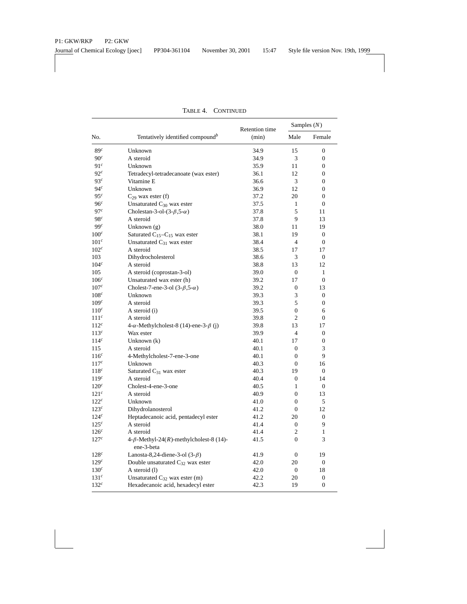|                  | Tentatively identified compound <sup>b</sup>                 | Retention time | Samples $(N)$    |                  |
|------------------|--------------------------------------------------------------|----------------|------------------|------------------|
| No.              |                                                              | (min)          | Male             | Female           |
| 89 <sup>c</sup>  | Unknown                                                      | 34.9           | 15               | $\boldsymbol{0}$ |
| 90 <sup>c</sup>  | A steroid                                                    | 34.9           | 3                | $\boldsymbol{0}$ |
| 91 <sup>c</sup>  | Unknown                                                      | 35.9           | 11               | $\overline{0}$   |
| 92 <sup>c</sup>  | Tetradecyl-tetradecanoate (wax ester)                        | 36.1           | 12               | $\overline{0}$   |
| 93 <sup>c</sup>  | Vitamine E                                                   | 36.6           | 3                | $\mathbf{0}$     |
| 94 <sup>c</sup>  | Unknown                                                      | 36.9           | 12               | 0                |
| 95 <sup>c</sup>  | $C_{29}$ wax ester (f)                                       | 37.2           | 20               | $\mathbf{0}$     |
| 96 <sup>c</sup>  | Unsaturated $C_{30}$ wax ester                               | 37.5           | $\mathbf{1}$     | $\overline{0}$   |
| 97c              | Cholestan-3-ol- $(3-\beta,5-\alpha)$                         | 37.8           | 5                | 11               |
| 98 <sup>c</sup>  | A steroid                                                    | 37.8           | 9                | 13               |
| 99c              | Unknown $(g)$                                                | 38.0           | 11               | 19               |
| $100^c$          | Saturated $C_{15}-C_{15}$ wax ester                          | 38.1           | 19               | $\mathbf{0}$     |
| 101 <sup>c</sup> | Unsaturated $C_{31}$ wax ester                               | 38.4           | $\overline{4}$   | $\overline{0}$   |
| 102 <sup>c</sup> | A steroid                                                    | 38.5           | 17               | 17               |
| 103              | Dihydrocholesterol                                           | 38.6           | 3                | $\mathbf{0}$     |
| 104 <sup>c</sup> | A steroid                                                    | 38.8           | 13               | 12               |
| 105              | A steroid (coprostan-3-ol)                                   | 39.0           | $\overline{0}$   | $\mathbf{1}$     |
| 106 <sup>c</sup> | Unsaturated wax ester (h)                                    | 39.2           | 17               | $\overline{0}$   |
| 107 <sup>c</sup> | Cholest-7-ene-3-ol $(3-\beta,5-\alpha)$                      | 39.2           | $\overline{0}$   | 13               |
| 108 <sup>c</sup> | Unknown                                                      | 39.3           | 3                | $\Omega$         |
| 109 <sup>c</sup> | A steroid                                                    | 39.3           | 5                | $\boldsymbol{0}$ |
| 110 <sup>c</sup> | A steroid (i)                                                | 39.5           | $\boldsymbol{0}$ | 6                |
| $111^c$          | A steroid                                                    | 39.8           | $\mathfrak{2}$   | $\boldsymbol{0}$ |
| $112^c$          | $4-\alpha$ -Methylcholest-8 (14)-ene-3- $\beta$ (j)          | 39.8           | 13               | 17               |
| 113 <sup>c</sup> | Wax ester                                                    | 39.9           | $\overline{4}$   | $\boldsymbol{0}$ |
| 114 <sup>c</sup> | Unknown (k)                                                  | 40.1           | 17               | $\mathbf{0}$     |
| 115              | A steroid                                                    | 40.1           | $\mathbf{0}$     | 3                |
| 116 <sup>c</sup> | 4-Methylcholest-7-ene-3-one                                  | 40.1           | $\mathbf{0}$     | 9                |
| 117 <sup>c</sup> | Unknown                                                      | 40.3           | 0                | 16               |
| 118 <sup>c</sup> | Saturated C <sub>31</sub> wax ester                          | 40.3           | 19               | 0                |
| 119 <sup>c</sup> | A steroid                                                    | 40.4           | $\mathbf{0}$     | 14               |
| 120 <sup>c</sup> | Cholest-4-ene-3-one                                          | 40.5           | 1                | $\theta$         |
| 121 <sup>c</sup> | A steroid                                                    | 40.9           | $\overline{0}$   | 13               |
| 122 <sup>c</sup> | Unknown                                                      | 41.0           | $\mathbf{0}$     | 5                |
| $123^c$          | Dihydrolanosterol                                            | 41.2           | $\overline{0}$   | 12               |
| 124 <sup>c</sup> | Heptadecanoic acid, pentadecyl ester                         | 41.2           | 20               | $\overline{0}$   |
| 125 <sup>c</sup> | A steroid                                                    | 41.4           | 0                | 9                |
| 126 <sup>c</sup> | A steroid                                                    | 41.4           | $\mathfrak{2}$   | $\mathbf{1}$     |
| 127c             | 4- $\beta$ -Methyl-24(R)-methylcholest-8 (14)-<br>ene-3-beta | 41.5           | $\mathbf{0}$     | 3                |
| 128c             | Lanosta-8,24-diene-3-ol $(3-\beta)$                          | 41.9           | $\mathbf{0}$     | 19               |
| 129 <sup>c</sup> | Double unsaturated C <sub>32</sub> wax ester                 | 42.0           | 20               | $\Omega$         |
| 130 <sup>c</sup> | A steroid (1)                                                | 42.0           | $\boldsymbol{0}$ | 18               |
| 131 <sup>c</sup> | Unsaturated $C_{32}$ wax ester (m)                           | 42.2           | 20               | $\boldsymbol{0}$ |
| 132 <sup>c</sup> | Hexadecanoic acid, hexadecyl ester                           | 42.3           | 19               | $\boldsymbol{0}$ |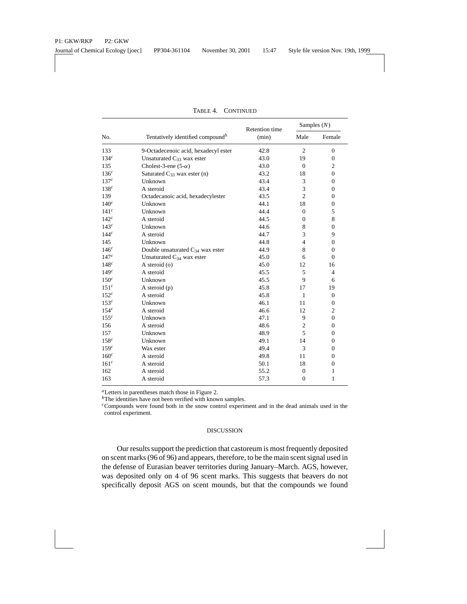|                  | Tentatively identified compound <sup>b</sup> | <b>Retention</b> time | Samples $(N)$  |                  |
|------------------|----------------------------------------------|-----------------------|----------------|------------------|
| No.              |                                              | (min)                 | Male           | Female           |
| 133              | 9-Octadecenoic acid, hexadecyl ester         | 42.8                  | $\overline{2}$ | $\boldsymbol{0}$ |
| 134 <sup>c</sup> | Unsaturated $C_{33}$ wax ester               | 43.0                  | 19             | $\mathbf{0}$     |
| 135              | Cholest-3-ene $(5-\alpha)$                   | 43.0                  | $\mathbf{0}$   | $\mathfrak{2}$   |
| 136 <sup>c</sup> | Saturated $C_{33}$ wax ester (n)             | 43.2                  | 18             | $\boldsymbol{0}$ |
| 137 <sup>c</sup> | Unknown                                      | 43.4                  | 3              | $\boldsymbol{0}$ |
| 138 <sup>c</sup> | A steroid                                    | 43.4                  | 3              | $\boldsymbol{0}$ |
| 139              | Octadecanoic acid, hexadecylester            | 43.5                  | $\overline{2}$ | $\mathbf{0}$     |
| 140 <sup>c</sup> | Unknown                                      | 44.1                  | 18             | $\boldsymbol{0}$ |
| 141 <sup>c</sup> | Unknown                                      | 44.4                  | $\overline{0}$ | 5                |
| 142 <sup>c</sup> | A steroid                                    | 44.5                  | $\mathbf{0}$   | 8                |
| 143 <sup>c</sup> | Unknown                                      | 44.6                  | 8              | $\boldsymbol{0}$ |
| 144 <sup>c</sup> | A steroid                                    | 44.7                  | 3              | 9                |
| 145              | Unknown                                      | 44.8                  | $\overline{4}$ | $\mathbf{0}$     |
| 146 <sup>c</sup> | Double unsaturated $C_{34}$ wax ester        | 44.9                  | 8              | $\mathbf{0}$     |
| 147 <sup>c</sup> | Unsaturated $C_{34}$ wax ester               | 45.0                  | 6              | $\boldsymbol{0}$ |
| 148c             | A steroid (o)                                | 45.0                  | 12             | 16               |
| 149 <sup>c</sup> | A steroid                                    | 45.5                  | 5              | $\overline{4}$   |
| 150 <sup>c</sup> | Unknown                                      | 45.5                  | 9              | 6                |
| 151 <sup>c</sup> | A steroid $(p)$                              | 45.8                  | 17             | 19               |
| 152 <sup>c</sup> | A steroid                                    | 45.8                  | $\mathbf{1}$   | $\mathbf{0}$     |
| 153 <sup>c</sup> | Unknown                                      | 46.1                  | 11             | $\boldsymbol{0}$ |
| 154 <sup>c</sup> | A steroid                                    | 46.6                  | 12             | $\overline{c}$   |
| 155 <sup>c</sup> | Unknown                                      | 47.1                  | 9              | $\boldsymbol{0}$ |
| 156              | A steroid                                    | 48.6                  | $\mathfrak{2}$ | $\boldsymbol{0}$ |
| 157              | Unknown                                      | 48.9                  | 5              | $\boldsymbol{0}$ |
| 158 <sup>c</sup> | Unknown                                      | 49.1                  | 14             | $\boldsymbol{0}$ |
| 159 <sup>c</sup> | Wax ester                                    | 49.4                  | 3              | $\boldsymbol{0}$ |
| $160^c$          | A steroid                                    | 49.8                  | 11             | $\boldsymbol{0}$ |
| 161 <sup>c</sup> | A steroid                                    | 50.1                  | 18             | $\boldsymbol{0}$ |
| 162              | A steroid                                    | 55.2                  | $\mathbf{0}$   | 1                |
| 163              | A steroid                                    | 57.3                  | $\mathbf{0}$   | 1                |

TABLE 4. CONTINUED

*<sup>a</sup>*Letters in parentheses match those in Figure 2.

*<sup>b</sup>*The identities have not been verified with known samples.

*<sup>c</sup>*Compounds were found both in the snow control experiment and in the dead animals used in the control experiment.

## DISCUSSION

Our results support the prediction that castoreum is most frequently deposited on scent marks (96 of 96) and appears, therefore, to be the main scent signal used in the defense of Eurasian beaver territories during January–March. AGS, however, was deposited only on 4 of 96 scent marks. This suggests that beavers do not specifically deposit AGS on scent mounds, but that the compounds we found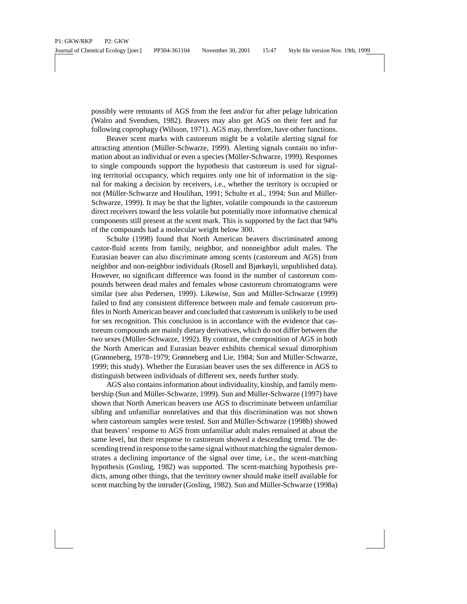possibly were remnants of AGS from the feet and/or fur after pelage lubrication (Walro and Svendsen, 1982). Beavers may also get AGS on their feet and fur following coprophagy (Wilsson, 1971). AGS may, therefore, have other functions.

Beaver scent marks with castoreum might be a volatile alerting signal for attracting attention (Müller-Schwarze, 1999). Alerting signals contain no information about an individual or even a species (Müller-Schwarze, 1999). Responses to single compounds support the hypothesis that castoreum is used for signaling territorial occupancy, which requires only one bit of information in the signal for making a decision by receivers, i.e., whether the territory is occupied or not (Müller-Schwarze and Houlihan, 1991; Schulte et al., 1994; Sun and Müller-Schwarze, 1999). It may be that the lighter, volatile compounds in the castoreum direct receivers toward the less volatile but potentially more informative chemical components still present at the scent mark. This is supported by the fact that 94% of the compounds had a molecular weight below 300.

Schulte (1998) found that North American beavers discriminated among castor-fluid scents from family, neighbor, and nonneighbor adult males. The Eurasian beaver can also discriminate among scents (castoreum and AGS) from neighbor and non-neighbor individuals (Rosell and Bjørkøyli, unpublished data). However, no significant difference was found in the number of castoreum compounds between dead males and females whose castoreum chromatograms were similar (see also Pedersen, 1999). Likewise, Sun and Müller-Schwarze (1999) failed to find any consistent difference between male and female castoreum profiles in North American beaver and concluded that castoreum is unlikely to be used for sex recognition. This conclusion is in accordance with the evidence that castoreum compounds are mainly dietary derivatives, which do not differ between the two sexes (Müller-Schwarze, 1992). By contrast, the composition of AGS in both the North American and Eurasian beaver exhibits chemical sexual dimorphism (Grønneberg, 1978–1979; Grønneberg and Lie, 1984; Sun and Müller-Schwarze, 1999; this study). Whether the Eurasian beaver uses the sex difference in AGS to distinguish between individuals of different sex, needs further study.

AGS also contains information about individuality, kinship, and family membership (Sun and Müller-Schwarze, 1999). Sun and Müller-Schwarze (1997) have shown that North American beavers use AGS to discriminate between unfamiliar sibling and unfamiliar nonrelatives and that this discrimination was not shown when castoreum samples were tested. Sun and Müller-Schwarze (1998b) showed that beavers' response to AGS from unfamiliar adult males remained at about the same level, but their response to castoreum showed a descending trend. The descending trend in response to the same signal without matching the signaler demonstrates a declining importance of the signal over time, i.e., the scent-matching hypothesis (Gosling, 1982) was supported. The scent-matching hypothesis predicts, among other things, that the territory owner should make itself available for scent matching by the intruder (Gosling, 1982). Sun and Müller-Schwarze (1998a)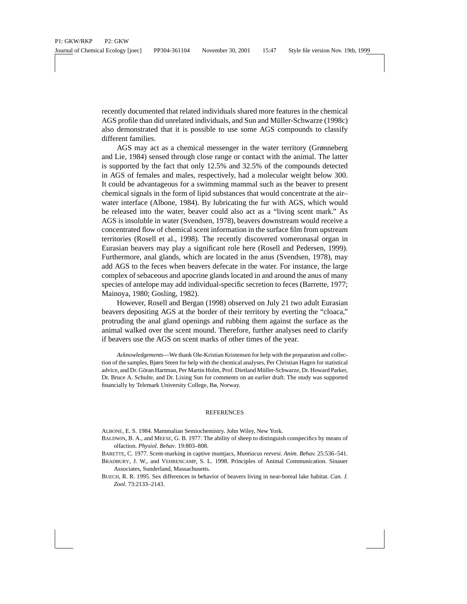recently documented that related individuals shared more features in the chemical AGS profile than did unrelated individuals, and Sun and Müller-Schwarze (1998c) also demonstrated that it is possible to use some AGS compounds to classify different families.

AGS may act as a chemical messenger in the water territory (Grønneberg and Lie, 1984) sensed through close range or contact with the animal. The latter is supported by the fact that only 12.5% and 32.5% of the compounds detected in AGS of females and males, respectively, had a molecular weight below 300. It could be advantageous for a swimming mammal such as the beaver to present chemical signals in the form of lipid substances that would concentrate at the air– water interface (Albone, 1984). By lubricating the fur with AGS, which would be released into the water, beaver could also act as a "living scent mark." As AGS is insoluble in water (Svendsen, 1978), beavers downstream would receive a concentrated flow of chemical scent information in the surface film from upstream territories (Rosell et al., 1998). The recently discovered vomeronasal organ in Eurasian beavers may play a significant role here (Rosell and Pedersen, 1999). Furthermore, anal glands, which are located in the anus (Svendsen, 1978), may add AGS to the feces when beavers defecate in the water. For instance, the large complex of sebaceous and apocrine glands located in and around the anus of many species of antelope may add individual-specific secretion to feces (Barrette, 1977; Mainoya, 1980; Gosling, 1982).

However, Rosell and Bergan (1998) observed on July 21 two adult Eurasian beavers depositing AGS at the border of their territory by everting the "cloaca," protruding the anal gland openings and rubbing them against the surface as the animal walked over the scent mound. Therefore, further analyses need to clarify if beavers use the AGS on scent marks of other times of the year.

*Acknowledgements*—We thank Ole-Kristian Kristensen for help with the preparation and collection of the samples, Bjørn Steen for help with the chemical analyses, Per Christian Hagen for statistical advice, and Dr. Göran Hartman, Per Martin Holm, Prof. Dietland Müller-Schwarze, Dr. Howard Parker, Dr. Bruce A. Schulte, and Dr. Lixing Sun for comments on an earlier draft. The study was supported financially by Telemark University College, Bø, Norway.

#### REFERENCES

ALBONE, E. S. 1984. Mammalian Semiochemistry. John Wiley, New York.

- BALDWIN, B. A., and MEESE, G. B. 1977. The ability of sheep to distinguish conspecifics by means of olfaction. *Physiol. Behav*. 19:803–808.
- BARETTE, C. 1977. Scent-marking in captive muntjacs, *Muntiacus reevesi. Anim. Behav.* 25:536–541.
- BRADBURY, J. W., and VEHRENCAMP, S. L. 1998. Principles of Animal Communication. Sinauer Associates, Sunderland, Massachusetts.
- BUECH, R. R. 1995. Sex differences in behavior of beavers living in near-boreal lake habitat. *Can. J. Zool*. 73:2133–2143.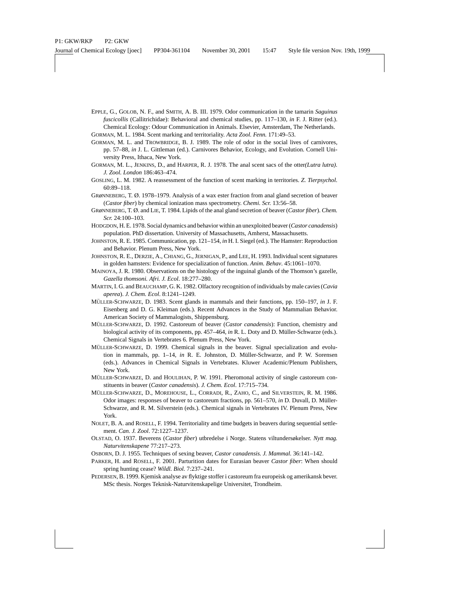EPPLE, G., GOLOB, N. F., and SMITH, A. B. III. 1979. Odor communication in the tamarin *Saguinus fuscicollis* (Callitrichidae): Behavioral and chemical studies, pp. 117–130, *in* F. J. Ritter (ed.). Chemical Ecology: Odour Communication in Animals. Elsevier, Amsterdam, The Netherlands.

GORMAN, M. L. 1984. Scent marking and territoriality. *Acta Zool. Fenn.* 171:49–53.

- GORMAN, M. L. and TROWBRIDGE, B. J. 1989. The role of odor in the social lives of carnivores, pp. 57–88, *in* J. L. Gittleman (ed.). Carnivores Behavior, Ecology, and Evolution. Cornell University Press, Ithaca, New York.
- GORMAN, M. L., JENKINS, D., and HARPER, R. J. 1978. The anal scent sacs of the otter*(Lutra lutra). J. Zool. London* 186:463–474.
- GOSLING, L. M. 1982. A reassessment of the function of scent marking in territories. *Z. Tierpsychol*. 60:89–118.
- GRøNNEBERG, T. Ø. 1978–1979. Analysis of a wax ester fraction from anal gland secretion of beaver (*Castor fiber*) by chemical ionization mass spectrometry. *Chemi. Scr.* 13:56–58.
- GRøNNEBERG, T. Ø. and LIE, T. 1984. Lipids of the anal gland secretion of beaver (*Castor fiber*). *Chem. Scr.* 24:100–103.
- HODGDON, H. E. 1978. Social dynamics and behavior within an unexploited beaver (*Castor canadensis*) population. PhD dissertation. University of Massachusetts, Amherst, Massachusetts.
- JOHNSTON, R. E. 1985. Communication, pp. 121–154, *in* H. I. Siegel (ed.). The Hamster: Reproduction and Behavior. Plenum Press, New York.
- JOHNSTON, R. E., DERZIE, A., CHIANG, G., JERNIGAN, P., and LEE, H. 1993. Individual scent signatures in golden hamsters: Evidence for specialization of function. *Anim. Behav*. 45:1061–1070.
- MAINOYA, J. R. 1980. Observations on the histology of the inguinal glands of the Thomson's gazelle, *Gazella thomsoni. Afri. J. Ecol*. 18:277–280.
- MARTIN, I. G. and BEAUCHAMP, G. K. 1982. Olfactory recognition of individuals by male cavies (*Cavia aperea*). *J. Chem. Ecol*. 8:1241–1249.
- MÜLLER-SCHWARZE, D. 1983. Scent glands in mammals and their functions, pp. 150–197, *in* J. F. Eisenberg and D. G. Kleiman (eds.). Recent Advances in the Study of Mammalian Behavior. American Society of Mammalogists, Shippensburg.
- MÜLLER-SCHWARZE, D. 1992. Castoreum of beaver (*Castor canadensis*): Function, chemistry and biological activity of its components, pp. 457–464, *in* R. L. Doty and D. Müller-Schwarze (eds.). Chemical Signals in Vertebrates 6. Plenum Press, New York.
- MÜLLER-SCHWARZE, D. 1999. Chemical signals in the beaver. Signal specialization and evolution in mammals, pp. 1–14, *in* R. E. Johnston, D. Müller-Schwarze, and P. W. Sorensen (eds.). Advances in Chemical Signals in Vertebrates. Kluwer Academic/Plenum Publishers, New York.
- MÜLLER-SCHWARZE, D. and HOULIHAN, P. W. 1991. Pheromonal activity of single castoreum constituents in beaver (*Castor canadensis*). *J. Chem. Ecol*. 17:715–734.
- MÜLLER-SCHWARZE, D., MOREHOUSE, L., CORRADI, R., ZAHO, C., and SILVERSTEIN, R. M. 1986. Odor images: responses of beaver to castoreum fractions, pp. 561–570, *in* D. Duvall, D. Müller-Schwarze, and R. M. Silverstein (eds.). Chemical signals in Vertebrates IV. Plenum Press, New York.
- NOLET, B. A. and ROSELL, F. 1994. Territoriality and time budgets in beavers during sequential settlement. *Can. J. Zool*. 72:1227–1237.
- OLSTAD, O. 1937. Beverens (*Castor fiber*) utbredelse i Norge. Statens viltundersøkelser. *Nytt mag. Naturvitenskapene* 77:217–273.
- OSBORN, D. J. 1955. Techniques of sexing beaver, *Castor canadensis. J. Mammal.* 36:141–142.
- PARKER, H. and ROSELL, F. 2001. Parturition dates for Eurasian beaver *Castor fiber*: When should spring hunting cease? *Wildl. Biol.* 7:237–241.
- PEDERSEN, B. 1999. Kjemisk analyse av flyktige stoffer i castoreum fra europeisk og amerikansk bever. MSc thesis. Norges Teknisk-Naturvitenskapelige Universitet, Trondheim.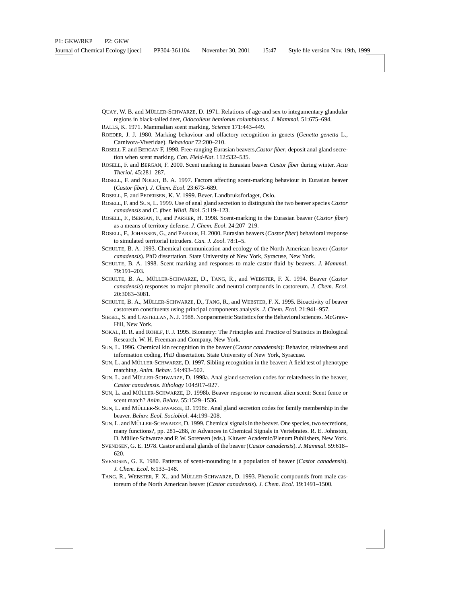- QUAY, W. B. and MÜLLER-SCHWARZE, D. 1971. Relations of age and sex to integumentary glandular regions in black-tailed deer, *Odocoileus hemionus columbianus. J. Mammal.* 51:675–694.
- RALLS, K. 1971. Mammalian scent marking. *Science* 171:443–449.
- ROEDER, J. J. 1980. Marking behaviour and olfactory recognition in genets (*Genetta genetta* L., Carnivora-Viveridae). *Behaviour* 72:200–210.
- ROSELL F. and BERGAN F, 1998. Free-ranging Eurasian beavers,*Castor fiber*, deposit anal gland secretion when scent marking. *Can. Field-Nat*. 112:532–535.
- ROSELL, F. and BERGAN, F. 2000. Scent marking in Eurasian beaver *Castor fiber* during winter. *Acta Theriol*. 45:281–287.
- ROSELL, F. and NOLET, B. A. 1997. Factors affecting scent-marking behaviour in Eurasian beaver (*Castor fiber*). *J. Chem. Ecol*. 23:673–689.
- ROSELL, F. and PEDERSEN, K. V. 1999. Bever. Landbruksforlaget, Oslo.
- ROSELL, F. and SUN, L. 1999. Use of anal gland secretion to distinguish the two beaver species *Castor canadensis* and *C. fiber. Wildl. Biol*. 5:119–123.
- ROSELL, F., BERGAN, F., and PARKER, H. 1998. Scent-marking in the Eurasian beaver (*Castor fiber*) as a means of territory defense. *J. Chem. Ecol*. 24:207–219.
- ROSELL, F., JOHANSEN, G., and PARKER, H. 2000. Eurasian beavers (*Castor fiber*) behavioral response to simulated territorial intruders. *Can. J. Zool*. 78:1–5.
- SCHULTE, B. A. 1993. Chemical communication and ecology of the North American beaver (*Castor canadensis*). PhD dissertation. State University of New York, Syracuse, New York.
- SCHULTE, B. A. 1998. Scent marking and responses to male castor fluid by beavers. *J. Mammal*. 79:191–203.
- SCHULTE, B. A., MÜLLER-SCHWARZE, D., TANG, R., and WEBSTER, F. X. 1994. Beaver (Castor *canadensis*) responses to major phenolic and neutral compounds in castoreum. *J. Chem. Ecol*. 20:3063–3081.
- SCHULTE, B. A., MÜLLER-SCHWARZE, D., TANG, R., and WEBSTER, F. X. 1995. Bioactivity of beaver castoreum constituents using principal components analysis. *J. Chem. Ecol.* 21:941–957.
- SIEGEL, S. and CASTELLAN, N. J. 1988. Nonparametric Statistics for the Behavioral sciences. McGraw-Hill, New York.
- SOKAL, R. R. and ROHLF, F. J. 1995. Biometry: The Principles and Practice of Statistics in Biological Research. W. H. Freeman and Company, New York.
- SUN, L. 1996. Chemical kin recognition in the beaver (*Castor canadensis*): Behavior, relatedness and information coding. PhD dissertation. State University of New York, Syracuse.
- SUN, L. and MÜLLER-SCHWARZE, D. 1997. Sibling recognition in the beaver: A field test of phenotype matching. *Anim. Behav*. 54:493–502.
- SUN, L. and MÜLLER-SCHWARZE, D. 1998a. Anal gland secretion codes for relatedness in the beaver, *Castor canadensis*. *Ethology* 104:917–927.
- SUN, L. and MÜLLER-SCHWARZE, D. 1998b. Beaver response to recurrent alien scent: Scent fence or scent match? *Anim. Behav*. 55:1529–1536.
- SUN, L. and MÜLLER-SCHWARZE, D. 1998c. Anal gland secretion codes for family membership in the beaver. *Behav. Ecol. Sociobiol*. 44:199–208.
- SUN, L. and MÜLLER-SCHWARZE, D. 1999. Chemical signals in the beaver. One species, two secretions, many functions?, pp. 281–288, *in* Advances in Chemical Signals in Vertebrates. R. E. Johnston, D. Müller-Schwarze and P. W. Sorensen (eds.). Kluwer Academic/Plenum Publishers, New York.
- SVENDSEN, G. E. 1978. Castor and anal glands of the beaver (*Castor canadensis*). *J. Mammal*. 59:618– 620.
- SVENDSEN, G. E. 1980. Patterns of scent-mounding in a population of beaver (*Castor canadensis*). *J. Chem. Ecol*. 6:133–148.
- TANG, R., WEBSTER, F. X., and MÜLLER-SCHWARZE, D. 1993. Phenolic compounds from male castoreum of the North American beaver (*Castor canadensis*). *J. Chem. Ecol*. 19:1491–1500.